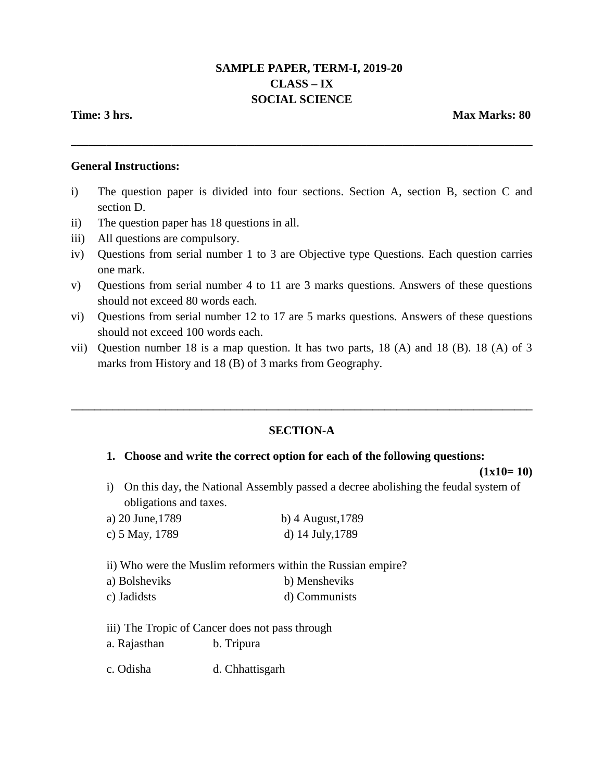# **SAMPLE PAPER, TERM-I, 2019-20 CLASS – IX SOCIAL SCIENCE**

**Time: 3 hrs.** Max Marks: 80

#### **General Instructions:**

i) The question paper is divided into four sections. Section A, section B, section C and section D.

**\_\_\_\_\_\_\_\_\_\_\_\_\_\_\_\_\_\_\_\_\_\_\_\_\_\_\_\_\_\_\_\_\_\_\_\_\_\_\_\_\_\_\_\_\_\_\_\_\_\_\_\_\_\_\_\_\_\_\_\_\_\_\_\_\_\_\_\_\_\_\_\_\_\_\_\_\_\_**

- ii) The question paper has 18 questions in all.
- iii) All questions are compulsory.
- iv) Questions from serial number 1 to 3 are Objective type Questions. Each question carries one mark.
- v) Questions from serial number 4 to 11 are 3 marks questions. Answers of these questions should not exceed 80 words each.
- vi) Questions from serial number 12 to 17 are 5 marks questions. Answers of these questions should not exceed 100 words each.
- vii) Question number 18 is a map question. It has two parts, 18 (A) and 18 (B). 18 (A) of 3 marks from History and 18 (B) of 3 marks from Geography.

## **SECTION-A**

**\_\_\_\_\_\_\_\_\_\_\_\_\_\_\_\_\_\_\_\_\_\_\_\_\_\_\_\_\_\_\_\_\_\_\_\_\_\_\_\_\_\_\_\_\_\_\_\_\_\_\_\_\_\_\_\_\_\_\_\_\_\_\_\_\_\_\_\_\_\_\_\_\_\_\_\_\_\_**

### **1. Choose and write the correct option for each of the following questions:**

**(1x10= 10)**

i) On this day, the National Assembly passed a decree abolishing the feudal system of obligations and taxes.

| a) 20 June, 1789 | b) 4 August, 1789 |
|------------------|-------------------|
| c) 5 May, 1789   | d) 14 July, 1789  |

ii) Who were the Muslim reformers within the Russian empire?

- a) Bolsheviks b) Mensheviks
- c) Jadidsts d) Communists
- iii) The Tropic of Cancer does not pass through a. Rajasthan b. Tripura
- c. Odisha d. Chhattisgarh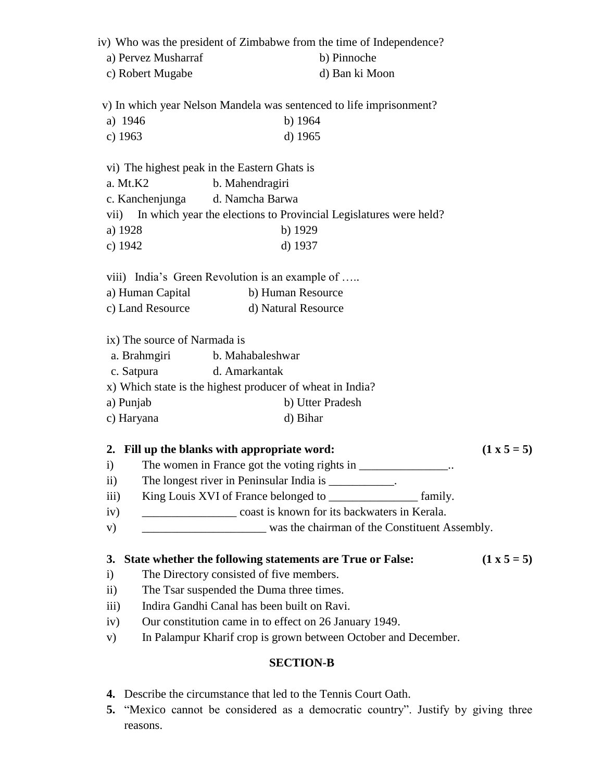iv) Who was the president of Zimbabwe from the time of Independence? a) Pervez Musharraf b) Pinnoche c) Robert Mugabe d) Ban ki Moon v) In which year Nelson Mandela was sentenced to life imprisonment? a) 1946 b) 1964 c) 1963 d) 1965 vi) The highest peak in the Eastern Ghats is a. Mt.K2 b. Mahendragiri c. Kanchenjunga d. Namcha Barwa vii) In which year the elections to Provincial Legislatures were held? a) 1928 b) 1929 c) 1942 d) 1937 viii) India's Green Revolution is an example of ….. a) Human Capital b) Human Resource c) Land Resource d) Natural Resource ix) The source of Narmada is a. Brahmgiri b. Mahabaleshwar c. Satpura d. Amarkantak x) Which state is the highest producer of wheat in India? a) Punjab b) Utter Pradesh c) Haryana d) Bihar **2.** Fill up the blanks with appropriate word:  $(1 \times 5 = 5)$ i) The women in France got the voting rights in  $\cdots$ ii) The longest river in Peninsular India is \_\_\_\_\_\_\_\_\_\_. iii) King Louis XVI of France belonged to family. iv) coast is known for its backwaters in Kerala. v) \_\_\_\_\_\_\_\_\_\_\_\_\_\_\_\_\_\_\_\_\_\_\_\_\_\_ was the chairman of the Constituent Assembly. **3.** State whether the following statements are True or False:  $(1 \times 5 = 5)$ i) The Directory consisted of five members. ii) The Tsar suspended the Duma three times. iii) Indira Gandhi Canal has been built on Ravi.

- iv) Our constitution came in to effect on 26 January 1949.
- v) In Palampur Kharif crop is grown between October and December.

# **SECTION-B**

- **4.** Describe the circumstance that led to the Tennis Court Oath.
- **5.** "Mexico cannot be considered as a democratic country". Justify by giving three reasons.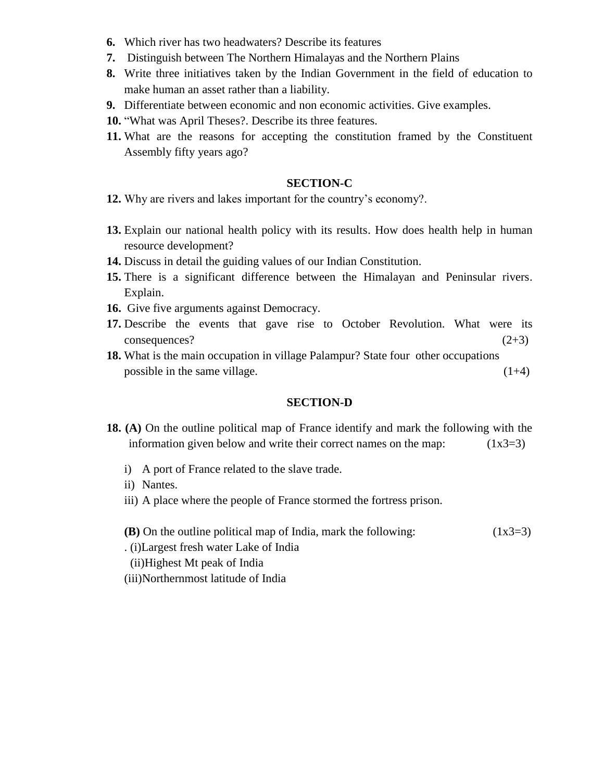- **6.** Which river has two headwaters? Describe its features
- **7.** Distinguish between The Northern Himalayas and the Northern Plains
- **8.** Write three initiatives taken by the Indian Government in the field of education to make human an asset rather than a liability.
- **9.** Differentiate between economic and non economic activities. Give examples.
- **10.** "What was April Theses?. Describe its three features.
- **11.** What are the reasons for accepting the constitution framed by the Constituent Assembly fifty years ago?

#### **SECTION-C**

- **12.** Why are rivers and lakes important for the country's economy?.
- **13.** Explain our national health policy with its results. How does health help in human resource development?
- **14.** Discuss in detail the guiding values of our Indian Constitution.
- **15.** There is a significant difference between the Himalayan and Peninsular rivers. Explain.
- **16.** Give five arguments against Democracy.
- **17.** Describe the events that gave rise to October Revolution. What were its  $\text{consequences?}$  (2+3)
- **18.** What is the main occupation in village Palampur? State four other occupations possible in the same village.  $(1+4)$

#### **SECTION-D**

- **18. (A)** On the outline political map of France identify and mark the following with the information given below and write their correct names on the map:  $(1x3=3)$ 
	- i) A port of France related to the slave trade.
	- ii) Nantes.
	- iii) A place where the people of France stormed the fortress prison.
	- **(B)** On the outline political map of India, mark the following:  $(1x3=3)$
	- . (i)Largest fresh water Lake of India
	- (ii)Highest Mt peak of India
	- (iii)Northernmost latitude of India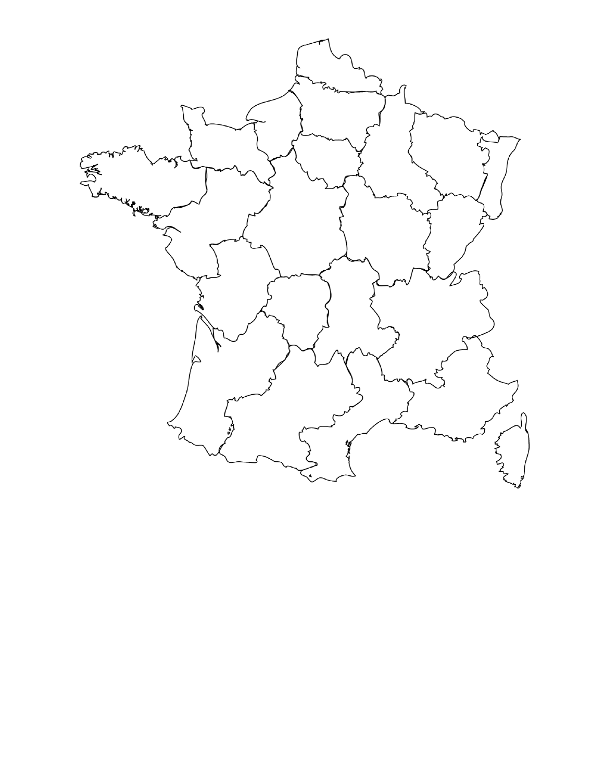